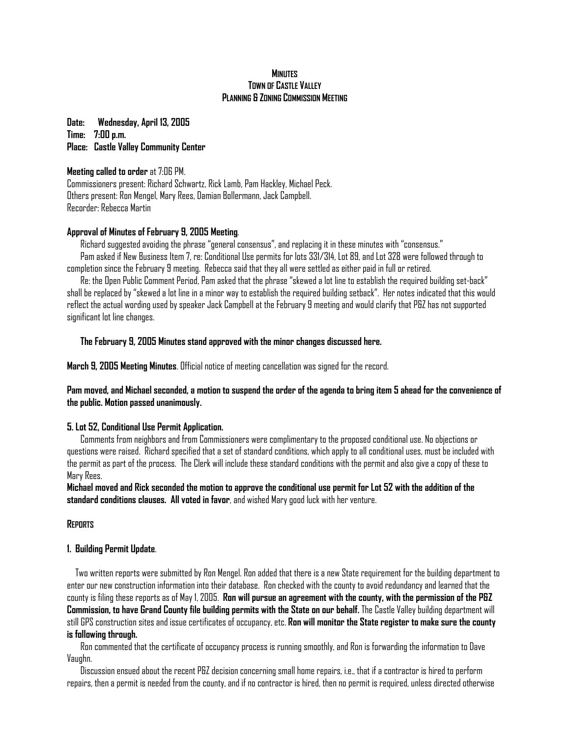### **MINUTES TOWN OF CASTLE VALLEY PLANNING & ZONING COMMISSION MEETING**

**Date: Wednesday, April 13, 2005 Time: 7:00 p.m. Place: Castle Valley Community Center**

## **Meeting called to order** at 7:06 PM.

Commissioners present: Richard Schwartz, Rick Lamb, Pam Hackley, Michael Peck. Others present: Ron Mengel, Mary Rees, Damian Bollermann, Jack Campbell. Recorder: Rebecca Martin

# **Approval of Minutes of February 9, 2005 Meeting**.

Richard suggested avoiding the phrase "general consensus", and replacing it in these minutes with "consensus." Pam asked if New Business Item 7, re: Conditional Use permits for lots 331/314, Lot 89, and Lot 328 were followed through to completion since the February 9 meeting. Rebecca said that they all were settled as either paid in full or retired.

Re: the Open Public Comment Period, Pam asked that the phrase "skewed a lot line to establish the required building set-back" shall be replaced by "skewed a lot line in a minor way to establish the required building setback". Her notes indicated that this would reflect the actual wording used by speaker Jack Campbell at the February 9 meeting and would clarify that P&Z has not supported significant lot line changes.

# **The February 9, 2005 Minutes stand approved with the minor changes discussed here.**

**March 9, 2005 Meeting Minutes**. Official notice of meeting cancellation was signed for the record.

# **Pam moved, and Michael seconded, a motion to suspend the order of the agenda to bring item 5 ahead for the convenience of the public. Motion passed unanimously.**

## **5. Lot 52, Conditional Use Permit Application.**

 Comments from neighbors and from Commissioners were complimentary to the proposed conditional use. No objections or questions were raised. Richard specified that a set of standard conditions, which apply to all conditional uses, must be included with the permit as part of the process. The Clerk will include these standard conditions with the permit and also give a copy of these to Mary Rees.

**Michael moved and Rick seconded the motion to approve the conditional use permit for Lot 52 with the addition of the standard conditions clauses. All voted in favor**, and wished Mary good luck with her venture.

## **REPORTS**

## **1. Building Permit Update**.

Two written reports were submitted by Ron Mengel. Ron added that there is a new State requirement for the building department to enter our new construction information into their database. Ron checked with the county to avoid redundancy and learned that the county is filing these reports as of May 1, 2005. **Ron will pursue an agreement with the county, with the permission of the P&Z Commission, to have Grand County file building permits with the State on our behalf.** The Castle Valley building department will still GPS construction sites and issue certificates of occupancy, etc. **Ron will monitor the State register to make sure the county is following through.** 

 Ron commented that the certificate of occupancy process is running smoothly, and Ron is forwarding the information to Dave Vaughn.

 Discussion ensued about the recent P&Z decision concerning small home repairs, i.e., that if a contractor is hired to perform repairs, then a permit is needed from the county, and if no contractor is hired, then no permit is required, unless directed otherwise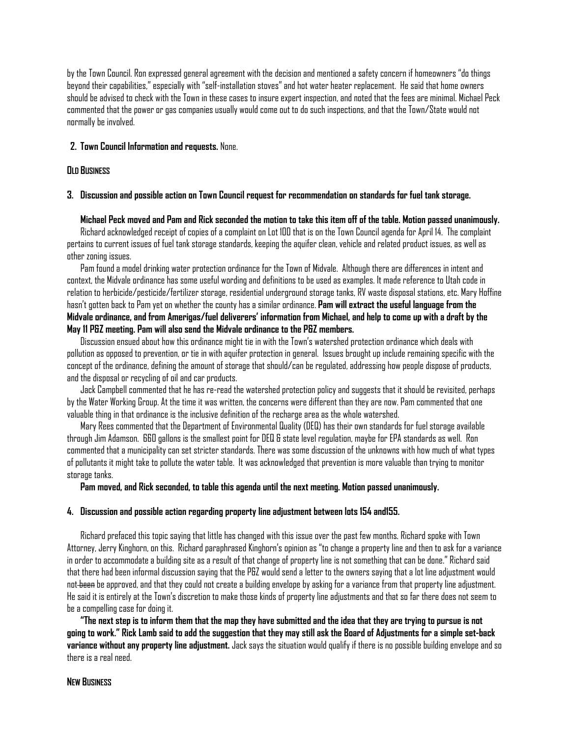by the Town Council. Ron expressed general agreement with the decision and mentioned a safety concern if homeowners "do things beyond their capabilities," especially with "self-installation stoves" and hot water heater replacement. He said that home owners should be advised to check with the Town in these cases to insure expert inspection, and noted that the fees are minimal. Michael Peck commented that the power or gas companies usually would come out to do such inspections, and that the Town/State would not normally be involved.

### **2. Town Council Information and requests.** None.

#### **OLD BUSINESS**

### **3. Discussion and possible action on Town Council request for recommendation on standards for fuel tank storage.**

#### **Michael Peck moved and Pam and Rick seconded the motion to take this item off of the table. Motion passed unanimously.**

 Richard acknowledged receipt of copies of a complaint on Lot 100 that is on the Town Council agenda for April 14. The complaint pertains to current issues of fuel tank storage standards, keeping the aquifer clean, vehicle and related product issues, as well as other zoning issues.

 Pam found a model drinking water protection ordinance for the Town of Midvale. Although there are differences in intent and context, the Midvale ordinance has some useful wording and definitions to be used as examples. It made reference to Utah code in relation to herbicide/pesticide/fertilizer storage, residential underground storage tanks, RV waste disposal stations, etc. Mary Hoffine hasn't gotten back to Pam yet on whether the county has a similar ordinance. **Pam will extract the useful language from the Midvale ordinance, and from Amerigas/fuel deliverers' information from Michael, and help to come up with a draft by the May 11 P&Z meeting. Pam will also send the Midvale ordinance to the P&Z members.**

 Discussion ensued about how this ordinance might tie in with the Town's watershed protection ordinance which deals with pollution as opposed to prevention, or tie in with aquifer protection in general. Issues brought up include remaining specific with the concept of the ordinance, defining the amount of storage that should/can be regulated, addressing how people dispose of products, and the disposal or recycling of oil and car products.

 Jack Campbell commented that he has re-read the watershed protection policy and suggests that it should be revisited, perhaps by the Water Working Group. At the time it was written, the concerns were different than they are now. Pam commented that one valuable thing in that ordinance is the inclusive definition of the recharge area as the whole watershed.

 Mary Rees commented that the Department of Environmental Quality (DEQ) has their own standards for fuel storage available through Jim Adamson. 660 gallons is the smallest point for DEQ & state level regulation, maybe for EPA standards as well. Ron commented that a municipality can set stricter standards. There was some discussion of the unknowns with how much of what types of pollutants it might take to pollute the water table. It was acknowledged that prevention is more valuable than trying to monitor storage tanks.

 **Pam moved, and Rick seconded, to table this agenda until the next meeting. Motion passed unanimously.** 

### **4. Discussion and possible action regarding property line adjustment between lots 154 and155.**

 Richard prefaced this topic saying that little has changed with this issue over the past few months. Richard spoke with Town Attorney, Jerry Kinghorn, on this. Richard paraphrased Kinghorn's opinion as "to change a property line and then to ask for a variance in order to accommodate a building site as a result of that change of property line is not something that can be done." Richard said that there had been informal discussion saying that the P&Z would send a letter to the owners saying that a lot line adjustment would not been be approved, and that they could not create a building envelope by asking for a variance from that property line adjustment. He said it is entirely at the Town's discretion to make those kinds of property line adjustments and that so far there does not seem to be a compelling case for doing it.

**"The next step is to inform them that the map they have submitted and the idea that they are trying to pursue is not going to work." Rick Lamb said to add the suggestion that they may still ask the Board of Adjustments for a simple set-back variance without any property line adjustment.** Jack says the situation would qualify if there is no possible building envelope and so there is a real need.

#### **NEW BUSINESS**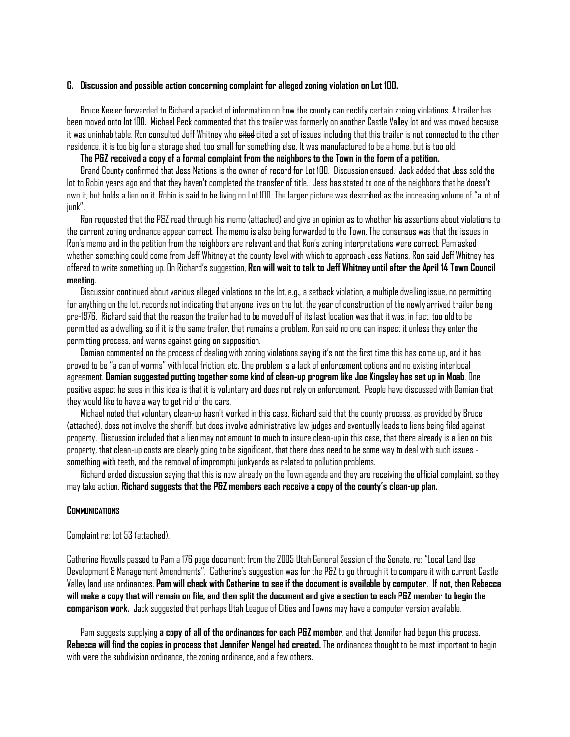#### **6. Discussion and possible action concerning complaint for alleged zoning violation on Lot 100.**

 Bruce Keeler forwarded to Richard a packet of information on how the county can rectify certain zoning violations. A trailer has been moved onto lot 100. Michael Peck commented that this trailer was formerly on another Castle Valley lot and was moved because it was uninhabitable. Ron consulted Jeff Whitney who <del>sited</del> cited a set of issues including that this trailer is not connected to the other residence, it is too big for a storage shed, too small for something else. It was manufactured to be a home, but is too old.

### **The P&Z received a copy of a formal complaint from the neighbors to the Town in the form of a petition.**

 Grand County confirmed that Jess Nations is the owner of record for Lot 100. Discussion ensued. Jack added that Jess sold the lot to Robin years ago and that they haven't completed the transfer of title. Jess has stated to one of the neighbors that he doesn't own it, but holds a lien on it. Robin is said to be living on Lot 100. The larger picture was described as the increasing volume of "a lot of junk".

 Ron requested that the P&Z read through his memo (attached) and give an opinion as to whether his assertions about violations to the current zoning ordinance appear correct. The memo is also being forwarded to the Town. The consensus was that the issues in Ron's memo and in the petition from the neighbors are relevant and that Ron's zoning interpretations were correct. Pam asked whether something could come from Jeff Whitney at the county level with which to approach Jess Nations. Ron said Jeff Whitney has offered to write something up. On Richard's suggestion, **Ron will wait to talk to Jeff Whitney until after the April 14 Town Council meeting.** 

 Discussion continued about various alleged violations on the lot, e.g., a setback violation, a multiple dwelling issue, no permitting for anything on the lot, records not indicating that anyone lives on the lot, the year of construction of the newly arrived trailer being pre-1976. Richard said that the reason the trailer had to be moved off of its last location was that it was, in fact, too old to be permitted as a dwelling, so if it is the same trailer, that remains a problem. Ron said no one can inspect it unless they enter the permitting process, and warns against going on supposition.

 Damian commented on the process of dealing with zoning violations saying it's not the first time this has come up, and it has proved to be "a can of worms" with local friction, etc. One problem is a lack of enforcement options and no existing interlocal agreement. **Damian suggested putting together some kind of clean-up program like Joe Kingsley has set up in Moab**. One positive aspect he sees in this idea is that it is voluntary and does not rely on enforcement. People have discussed with Damian that they would like to have a way to get rid of the cars.

 Michael noted that voluntary clean-up hasn't worked in this case. Richard said that the county process, as provided by Bruce (attached), does not involve the sheriff, but does involve administrative law judges and eventually leads to liens being filed against property. Discussion included that a lien may not amount to much to insure clean-up in this case, that there already is a lien on this property, that clean-up costs are clearly going to be significant, that there does need to be some way to deal with such issues something with teeth, and the removal of impromptu junkyards as related to pollution problems.

 Richard ended discussion saying that this is now already on the Town agenda and they are receiving the official complaint, so they may take action. **Richard suggests that the P&Z members each receive a copy of the county's clean-up plan.**

#### **COMMUNICATIONS**

Complaint re: Lot 53 (attached).

Catherine Howells passed to Pam a 176 page document: from the 2005 Utah General Session of the Senate, re: "Local Land Use Development & Management Amendments". Catherine's suggestion was for the P&Z to go through it to compare it with current Castle Valley land use ordinances. **Pam will check with Catherine to see if the document is available by computer. If not, then Rebecca**  will make a copy that will remain on file, and then split the document and give a section to each P&Z member to begin the **comparison work.** Jack suggested that perhaps Utah League of Cities and Towns may have a computer version available.

 Pam suggests supplying **a copy of all of the ordinances for each P&Z member**, and that Jennifer had begun this process. **Rebecca will find the copies in process that Jennifer Mengel had created.** The ordinances thought to be most important to begin with were the subdivision ordinance, the zoning ordinance, and a few others.